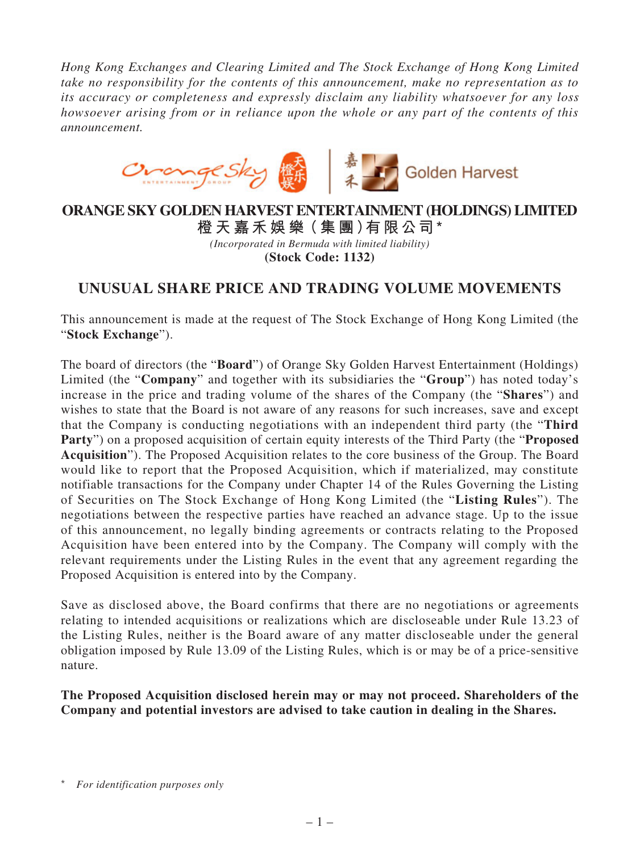*Hong Kong Exchanges and Clearing Limited and The Stock Exchange of Hong Kong Limited take no responsibility for the contents of this announcement, make no representation as to its accuracy or completeness and expressly disclaim any liability whatsoever for any loss howsoever arising from or in reliance upon the whole or any part of the contents of this announcement.*



## **ORANGE SKY GOLDEN HARVEST ENTERTAINMENT (HOLDINGS) LIMITED 橙 天 嘉禾娛 樂(集 團)有限公司 \***

*(Incorporated in Bermuda with limited liability)* **(Stock Code: 1132)**

## **UNUSUAL SHARE PRICE AND TRADING VOLUME MOVEMENTS**

This announcement is made at the request of The Stock Exchange of Hong Kong Limited (the "**Stock Exchange**").

The board of directors (the "**Board**") of Orange Sky Golden Harvest Entertainment (Holdings) Limited (the "**Company**" and together with its subsidiaries the "**Group**") has noted today's increase in the price and trading volume of the shares of the Company (the "**Shares**") and wishes to state that the Board is not aware of any reasons for such increases, save and except that the Company is conducting negotiations with an independent third party (the "**Third Party**") on a proposed acquisition of certain equity interests of the Third Party (the "**Proposed Acquisition**"). The Proposed Acquisition relates to the core business of the Group. The Board would like to report that the Proposed Acquisition, which if materialized, may constitute notifiable transactions for the Company under Chapter 14 of the Rules Governing the Listing of Securities on The Stock Exchange of Hong Kong Limited (the "**Listing Rules**"). The negotiations between the respective parties have reached an advance stage. Up to the issue of this announcement, no legally binding agreements or contracts relating to the Proposed Acquisition have been entered into by the Company. The Company will comply with the relevant requirements under the Listing Rules in the event that any agreement regarding the Proposed Acquisition is entered into by the Company.

Save as disclosed above, the Board confirms that there are no negotiations or agreements relating to intended acquisitions or realizations which are discloseable under Rule 13.23 of the Listing Rules, neither is the Board aware of any matter discloseable under the general obligation imposed by Rule 13.09 of the Listing Rules, which is or may be of a price-sensitive nature.

## **The Proposed Acquisition disclosed herein may or may not proceed. Shareholders of the Company and potential investors are advised to take caution in dealing in the Shares.**

 $For$  *identification purposes only*